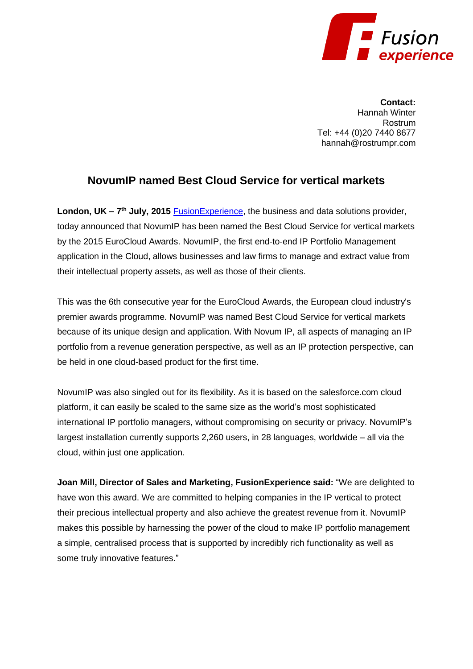

**Contact:** Hannah Winter Rostrum Tel: +44 (0)20 7440 8677 hannah@rostrumpr.com

## **NovumIP named Best Cloud Service for vertical markets**

London, UK – 7<sup>th</sup> July, 2015 **FusionExperience**, the business and data solutions provider, today announced that NovumIP has been named the Best Cloud Service for vertical markets by the 2015 EuroCloud Awards. NovumIP, the first end-to-end IP Portfolio Management application in the Cloud, allows businesses and law firms to manage and extract value from their intellectual property assets, as well as those of their clients.

This was the 6th consecutive year for the EuroCloud Awards, the European cloud industry's premier awards programme. NovumIP was named Best Cloud Service for vertical markets because of its unique design and application. With Novum IP, all aspects of managing an IP portfolio from a revenue generation perspective, as well as an IP protection perspective, can be held in one cloud-based product for the first time.

NovumIP was also singled out for its flexibility. As it is based on the salesforce.com cloud platform, it can easily be scaled to the same size as the world's most sophisticated international IP portfolio managers, without compromising on security or privacy. NovumIP's largest installation currently supports 2,260 users, in 28 languages, worldwide – all via the cloud, within just one application.

**Joan Mill, Director of Sales and Marketing, FusionExperience said:** "We are delighted to have won this award. We are committed to helping companies in the IP vertical to protect their precious intellectual property and also achieve the greatest revenue from it. NovumIP makes this possible by harnessing the power of the cloud to make IP portfolio management a simple, centralised process that is supported by incredibly rich functionality as well as some truly innovative features."